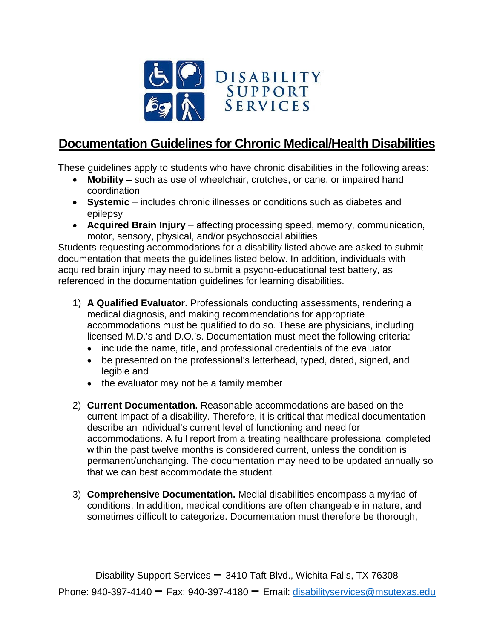

## **Documentation Guidelines for Chronic Medical/Health Disabilities**

These guidelines apply to students who have chronic disabilities in the following areas:

- **Mobility**  such as use of wheelchair, crutches, or cane, or impaired hand coordination
- **Systemic** includes chronic illnesses or conditions such as diabetes and epilepsy
- **Acquired Brain Injury**  affecting processing speed, memory, communication, motor, sensory, physical, and/or psychosocial abilities

Students requesting accommodations for a disability listed above are asked to submit documentation that meets the guidelines listed below. In addition, individuals with acquired brain injury may need to submit a psycho-educational test battery, as referenced in the documentation guidelines for learning disabilities.

- 1) **A Qualified Evaluator.** Professionals conducting assessments, rendering a medical diagnosis, and making recommendations for appropriate accommodations must be qualified to do so. These are physicians, including licensed M.D.'s and D.O.'s. Documentation must meet the following criteria:
	- include the name, title, and professional credentials of the evaluator
	- be presented on the professional's letterhead, typed, dated, signed, and legible and
	- the evaluator may not be a family member
- 2) **Current Documentation.** Reasonable accommodations are based on the current impact of a disability. Therefore, it is critical that medical documentation describe an individual's current level of functioning and need for accommodations. A full report from a treating healthcare professional completed within the past twelve months is considered current, unless the condition is permanent/unchanging. The documentation may need to be updated annually so that we can best accommodate the student.
- 3) **Comprehensive Documentation.** Medial disabilities encompass a myriad of conditions. In addition, medical conditions are often changeable in nature, and sometimes difficult to categorize. Documentation must therefore be thorough,